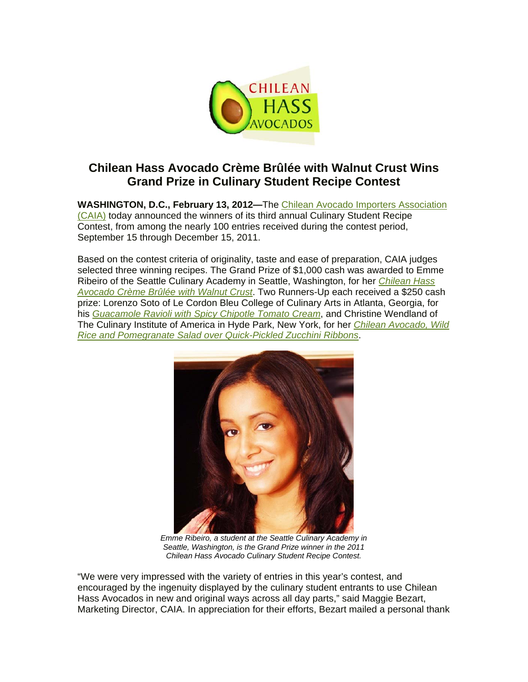

## **Chilean Hass Avocado Crème Brûlée with Walnut Crust Wins Grand Prize in Culinary Student Recipe Contest**

**WASHINGTON, D.C., February 13, 2012—**The [Chilean Avocado Importers Association](http://www.chileanavocados.org/)  [\(CAIA\)](http://www.chileanavocados.org/) today announced the winners of its third annual Culinary Student Recipe Contest, from among the nearly 100 entries received during the contest period, September 15 through December 15, 2011.

Based on the contest criteria of originality, taste and ease of preparation, CAIA judges selected three winning recipes. The Grand Prize of \$1,000 cash was awarded to Emme Ribeiro of the Seattle Culinary Academy in Seattle, Washington, for her *[Chilean Hass](http://www.chileanavocados.org/recipes/dessert/chilean-hass-avocado-creme-brulee-with-walnut-crust/)  [Avocado Crème Brûlée with Walnut Crust](http://www.chileanavocados.org/recipes/dessert/chilean-hass-avocado-creme-brulee-with-walnut-crust/)*. Two Runners-Up each received a \$250 cash prize: Lorenzo Soto of Le Cordon Bleu College of Culinary Arts in Atlanta, Georgia, for his *[Guacamole Ravioli with Spicy Chipotle Tomato Cream](http://www.chileanavocados.org/recipes/main-dishes/guacamole-ravioli-with-spicy-chipotle-tomato-cream/)*, and Christine Wendland of The Culinary Institute of America in Hyde Park, New York, for her *[Chilean Avocado, Wild](http://www.chileanavocados.org/recipes/salads-dressings/chilean-avocado-wild-rice-and-pomegranate-salad-over-quick-pickled-zucchini-ribbons/)  [Rice and Pomegranate Salad over Quick-Pickled Zucchini Ribbons](http://www.chileanavocados.org/recipes/salads-dressings/chilean-avocado-wild-rice-and-pomegranate-salad-over-quick-pickled-zucchini-ribbons/)*.



*Emme Ribeiro, a student at the Seattle Culinary Academy in Seattle, Washington, is the Grand Prize winner in the 2011 Chilean Hass Avocado Culinary Student Recipe Contest.* 

"We were very impressed with the variety of entries in this year's contest, and encouraged by the ingenuity displayed by the culinary student entrants to use Chilean Hass Avocados in new and original ways across all day parts," said Maggie Bezart, Marketing Director, CAIA. In appreciation for their efforts, Bezart mailed a personal thank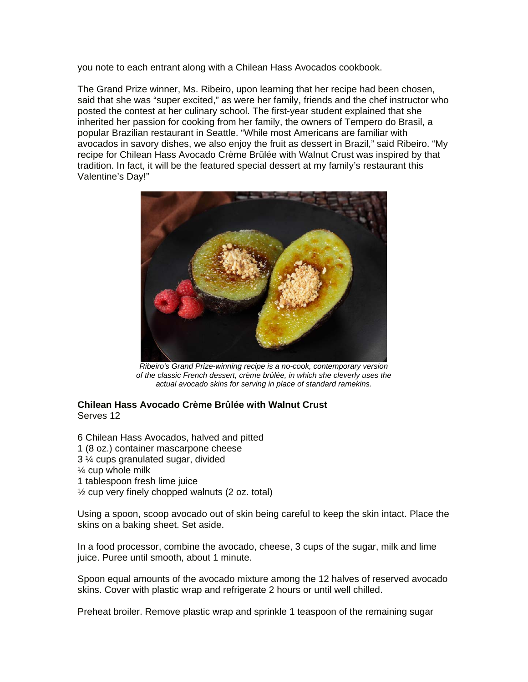you note to each entrant along with a Chilean Hass Avocados cookbook.

The Grand Prize winner, Ms. Ribeiro, upon learning that her recipe had been chosen, said that she was "super excited," as were her family, friends and the chef instructor who posted the contest at her culinary school. The first-year student explained that she inherited her passion for cooking from her family, the owners of Tempero do Brasil, a popular Brazilian restaurant in Seattle. "While most Americans are familiar with avocados in savory dishes, we also enjoy the fruit as dessert in Brazil," said Ribeiro. "My recipe for Chilean Hass Avocado Crème Brûlée with Walnut Crust was inspired by that tradition. In fact, it will be the featured special dessert at my family's restaurant this Valentine's Day!"



*Ribeiro's Grand Prize-winning recipe is a no-cook, contemporary version of the classic French dessert, crème brûlée, in which she cleverly uses the actual avocado skins for serving in place of standard ramekins.* 

## **Chilean Hass Avocado Crème Brûlée with Walnut Crust**  Serves 12

6 Chilean Hass Avocados, halved and pitted 1 (8 oz.) container mascarpone cheese 3 ¼ cups granulated sugar, divided ¼ cup whole milk 1 tablespoon fresh lime juice ½ cup very finely chopped walnuts (2 oz. total)

Using a spoon, scoop avocado out of skin being careful to keep the skin intact. Place the skins on a baking sheet. Set aside.

In a food processor, combine the avocado, cheese, 3 cups of the sugar, milk and lime juice. Puree until smooth, about 1 minute.

Spoon equal amounts of the avocado mixture among the 12 halves of reserved avocado skins. Cover with plastic wrap and refrigerate 2 hours or until well chilled.

Preheat broiler. Remove plastic wrap and sprinkle 1 teaspoon of the remaining sugar